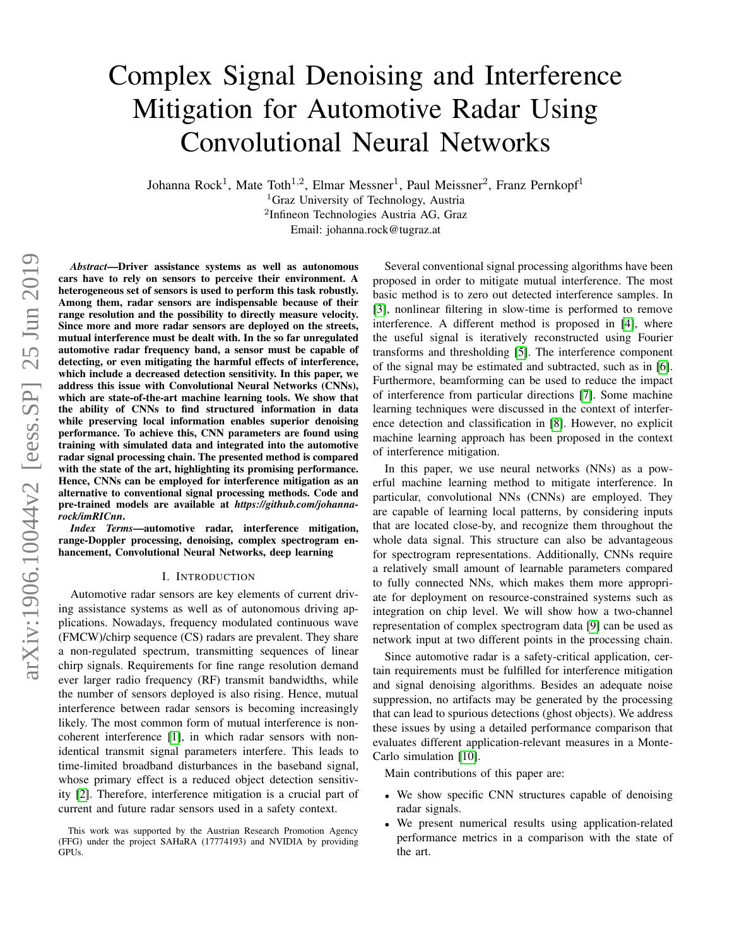# Complex Signal Denoising and Interference Mitigation for Automotive Radar Using Convolutional Neural Networks

Johanna Rock<sup>1</sup>, Mate Toth<sup>1,2</sup>, Elmar Messner<sup>1</sup>, Paul Meissner<sup>2</sup>, Franz Pernkopf<sup>1</sup>

<sup>1</sup>Graz University of Technology, Austria <sup>2</sup>Infineon Technologies Austria AG, Graz

Email: johanna.rock@tugraz.at

*Abstract*—Driver assistance systems as well as autonomous cars have to rely on sensors to perceive their environment. A heterogeneous set of sensors is used to perform this task robustly. Among them, radar sensors are indispensable because of their range resolution and the possibility to directly measure velocity. Since more and more radar sensors are deployed on the streets, mutual interference must be dealt with. In the so far unregulated automotive radar frequency band, a sensor must be capable of detecting, or even mitigating the harmful effects of interference, which include a decreased detection sensitivity. In this paper, we address this issue with Convolutional Neural Networks (CNNs), which are state-of-the-art machine learning tools. We show that the ability of CNNs to find structured information in data while preserving local information enables superior denoising performance. To achieve this, CNN parameters are found using training with simulated data and integrated into the automotive radar signal processing chain. The presented method is compared with the state of the art, highlighting its promising performance. Hence, CNNs can be employed for interference mitigation as an alternative to conventional signal processing methods. Code and pre-trained models are available at *https://github.com/johannarock/imRICnn*.

*Index Terms*—automotive radar, interference mitigation, range-Doppler processing, denoising, complex spectrogram enhancement, Convolutional Neural Networks, deep learning

## I. INTRODUCTION

Automotive radar sensors are key elements of current driving assistance systems as well as of autonomous driving applications. Nowadays, frequency modulated continuous wave (FMCW)/chirp sequence (CS) radars are prevalent. They share a non-regulated spectrum, transmitting sequences of linear chirp signals. Requirements for fine range resolution demand ever larger radio frequency (RF) transmit bandwidths, while the number of sensors deployed is also rising. Hence, mutual interference between radar sensors is becoming increasingly likely. The most common form of mutual interference is noncoherent interference [\[1\]](#page-7-0), in which radar sensors with nonidentical transmit signal parameters interfere. This leads to time-limited broadband disturbances in the baseband signal, whose primary effect is a reduced object detection sensitivity [\[2\]](#page-7-1). Therefore, interference mitigation is a crucial part of current and future radar sensors used in a safety context.

Several conventional signal processing algorithms have been proposed in order to mitigate mutual interference. The most basic method is to zero out detected interference samples. In [\[3\]](#page-7-2), nonlinear filtering in slow-time is performed to remove interference. A different method is proposed in [\[4\]](#page-7-3), where the useful signal is iteratively reconstructed using Fourier transforms and thresholding [\[5\]](#page-7-4). The interference component of the signal may be estimated and subtracted, such as in [\[6\]](#page-7-5). Furthermore, beamforming can be used to reduce the impact of interference from particular directions [\[7\]](#page-7-6). Some machine learning techniques were discussed in the context of interference detection and classification in [\[8\]](#page-7-7). However, no explicit machine learning approach has been proposed in the context of interference mitigation.

In this paper, we use neural networks (NNs) as a powerful machine learning method to mitigate interference. In particular, convolutional NNs (CNNs) are employed. They are capable of learning local patterns, by considering inputs that are located close-by, and recognize them throughout the whole data signal. This structure can also be advantageous for spectrogram representations. Additionally, CNNs require a relatively small amount of learnable parameters compared to fully connected NNs, which makes them more appropriate for deployment on resource-constrained systems such as integration on chip level. We will show how a two-channel representation of complex spectrogram data [\[9\]](#page-7-8) can be used as network input at two different points in the processing chain.

Since automotive radar is a safety-critical application, certain requirements must be fulfilled for interference mitigation and signal denoising algorithms. Besides an adequate noise suppression, no artifacts may be generated by the processing that can lead to spurious detections (ghost objects). We address these issues by using a detailed performance comparison that evaluates different application-relevant measures in a Monte-Carlo simulation [\[10\]](#page-7-9).

Main contributions of this paper are:

- We show specific CNN structures capable of denoising radar signals.
- We present numerical results using application-related performance metrics in a comparison with the state of the art.

This work was supported by the Austrian Research Promotion Agency (FFG) under the project SAHaRA (17774193) and NVIDIA by providing GPUs.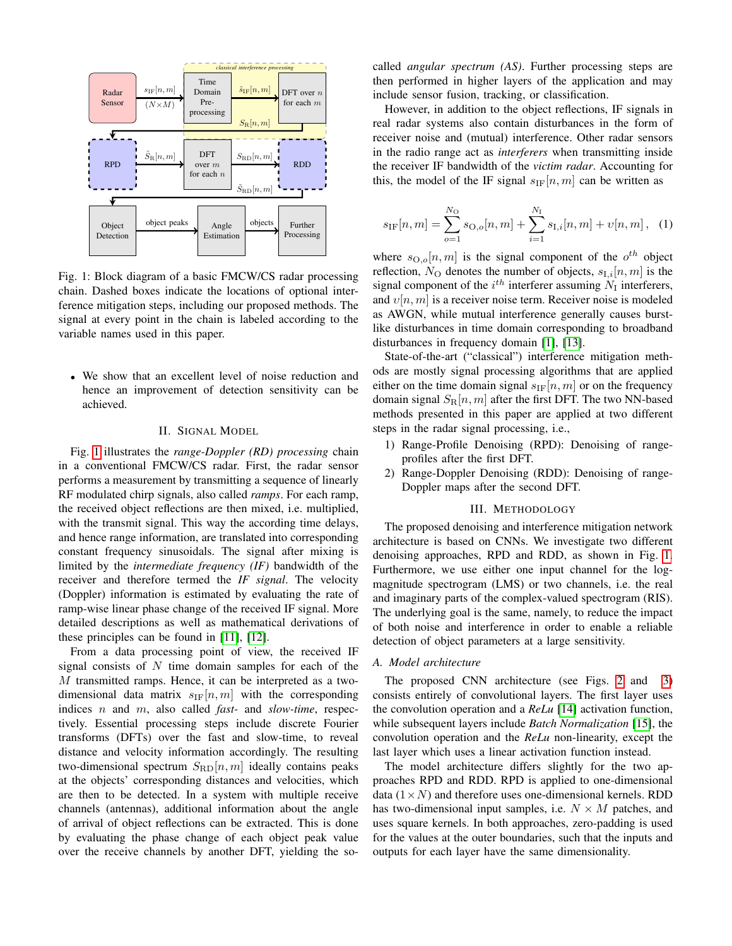<span id="page-1-0"></span>

Fig. 1: Block diagram of a basic FMCW/CS radar processing chain. Dashed boxes indicate the locations of optional interference mitigation steps, including our proposed methods. The signal at every point in the chain is labeled according to the variable names used in this paper.

• We show that an excellent level of noise reduction and hence an improvement of detection sensitivity can be achieved.

#### II. SIGNAL MODEL

<span id="page-1-2"></span>Fig. [1](#page-1-0) illustrates the *range-Doppler (RD) processing* chain in a conventional FMCW/CS radar. First, the radar sensor performs a measurement by transmitting a sequence of linearly RF modulated chirp signals, also called *ramps*. For each ramp, the received object reflections are then mixed, i.e. multiplied, with the transmit signal. This way the according time delays, and hence range information, are translated into corresponding constant frequency sinusoidals. The signal after mixing is limited by the *intermediate frequency (IF)* bandwidth of the receiver and therefore termed the *IF signal*. The velocity (Doppler) information is estimated by evaluating the rate of ramp-wise linear phase change of the received IF signal. More detailed descriptions as well as mathematical derivations of these principles can be found in [\[11\]](#page-7-10), [\[12\]](#page-7-11).

From a data processing point of view, the received IF signal consists of  $N$  time domain samples for each of the M transmitted ramps. Hence, it can be interpreted as a twodimensional data matrix  $s_{IF}[n, m]$  with the corresponding indices n and m, also called *fast-* and *slow-time*, respectively. Essential processing steps include discrete Fourier transforms (DFTs) over the fast and slow-time, to reveal distance and velocity information accordingly. The resulting two-dimensional spectrum  $S_{\rm RD}[n,m]$  ideally contains peaks at the objects' corresponding distances and velocities, which are then to be detected. In a system with multiple receive channels (antennas), additional information about the angle of arrival of object reflections can be extracted. This is done by evaluating the phase change of each object peak value over the receive channels by another DFT, yielding the socalled *angular spectrum (AS)*. Further processing steps are then performed in higher layers of the application and may include sensor fusion, tracking, or classification.

However, in addition to the object reflections, IF signals in real radar systems also contain disturbances in the form of receiver noise and (mutual) interference. Other radar sensors in the radio range act as *interferers* when transmitting inside the receiver IF bandwidth of the *victim radar*. Accounting for this, the model of the IF signal  $s_{IF}[n, m]$  can be written as

<span id="page-1-1"></span>
$$
s_{\text{IF}}[n,m] = \sum_{o=1}^{N_{\text{O}}} s_{\text{O},o}[n,m] + \sum_{i=1}^{N_{\text{I}}} s_{\text{I},i}[n,m] + \upsilon[n,m], \quad (1)
$$

where  $s_{\text{O},o}[n,m]$  is the signal component of the  $o^{th}$  object reflection,  $N_{\text{O}}$  denotes the number of objects,  $s_{\text{I},i}[n,m]$  is the signal component of the  $i^{th}$  interferer assuming  $N_I$  interferers, and  $v[n, m]$  is a receiver noise term. Receiver noise is modeled as AWGN, while mutual interference generally causes burstlike disturbances in time domain corresponding to broadband disturbances in frequency domain [\[1\]](#page-7-0), [\[13\]](#page-7-12).

State-of-the-art ("classical") interference mitigation methods are mostly signal processing algorithms that are applied either on the time domain signal  $s_{IF}[n, m]$  or on the frequency domain signal  $S_{\rm R}[n,m]$  after the first DFT. The two NN-based methods presented in this paper are applied at two different steps in the radar signal processing, i.e.,

- 1) Range-Profile Denoising (RPD): Denoising of rangeprofiles after the first DFT.
- 2) Range-Doppler Denoising (RDD): Denoising of range-Doppler maps after the second DFT.

#### III. METHODOLOGY

<span id="page-1-3"></span>The proposed denoising and interference mitigation network architecture is based on CNNs. We investigate two different denoising approaches, RPD and RDD, as shown in Fig. [1.](#page-1-0) Furthermore, we use either one input channel for the logmagnitude spectrogram (LMS) or two channels, i.e. the real and imaginary parts of the complex-valued spectrogram (RIS). The underlying goal is the same, namely, to reduce the impact of both noise and interference in order to enable a reliable detection of object parameters at a large sensitivity.

## *A. Model architecture*

The proposed CNN architecture (see Figs. [2](#page-2-0) and [3\)](#page-2-1) consists entirely of convolutional layers. The first layer uses the convolution operation and a *ReLu* [\[14\]](#page-7-13) activation function, while subsequent layers include *Batch Normalization* [\[15\]](#page-7-14), the convolution operation and the *ReLu* non-linearity, except the last layer which uses a linear activation function instead.

The model architecture differs slightly for the two approaches RPD and RDD. RPD is applied to one-dimensional data  $(1 \times N)$  and therefore uses one-dimensional kernels. RDD has two-dimensional input samples, i.e.  $N \times M$  patches, and uses square kernels. In both approaches, zero-padding is used for the values at the outer boundaries, such that the inputs and outputs for each layer have the same dimensionality.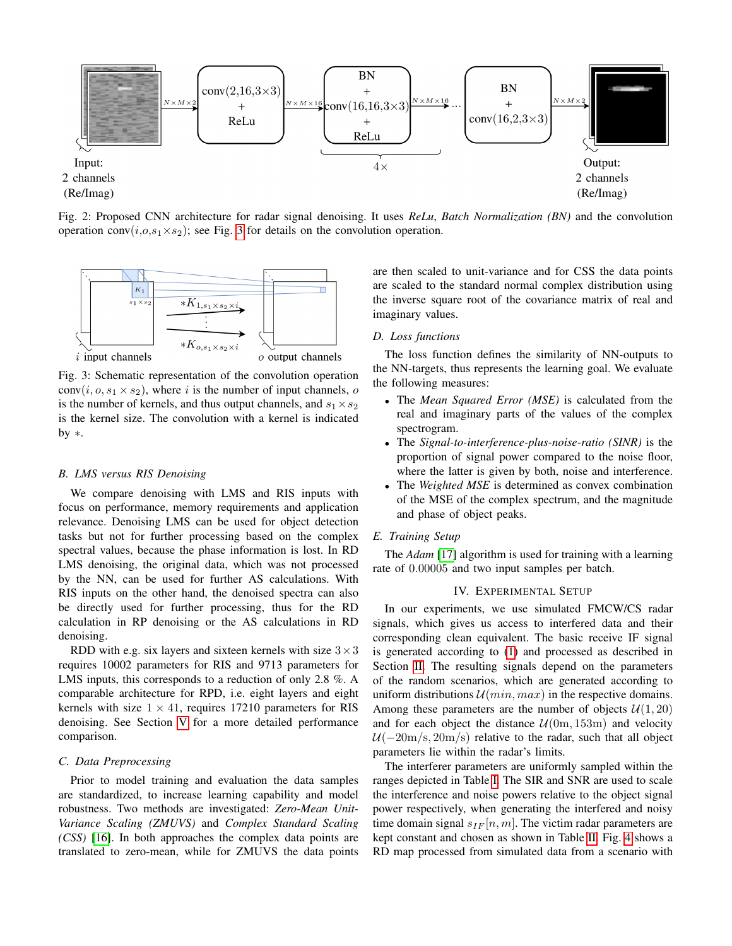<span id="page-2-0"></span>

Fig. 2: Proposed CNN architecture for radar signal denoising. It uses *ReLu*, *Batch Normalization (BN)* and the convolution operation conv $(i, o, s_1 \times s_2)$ ; see Fig. [3](#page-2-1) for details on the convolution operation.

<span id="page-2-1"></span>

Fig. 3: Schematic representation of the convolution operation conv $(i, o, s_1 \times s_2)$ , where i is the number of input channels, o is the number of kernels, and thus output channels, and  $s_1 \times s_2$ is the kernel size. The convolution with a kernel is indicated by ∗.

# *B. LMS versus RIS Denoising*

We compare denoising with LMS and RIS inputs with focus on performance, memory requirements and application relevance. Denoising LMS can be used for object detection tasks but not for further processing based on the complex spectral values, because the phase information is lost. In RD LMS denoising, the original data, which was not processed by the NN, can be used for further AS calculations. With RIS inputs on the other hand, the denoised spectra can also be directly used for further processing, thus for the RD calculation in RP denoising or the AS calculations in RD denoising.

RDD with e.g. six layers and sixteen kernels with size  $3 \times 3$ requires 10002 parameters for RIS and 9713 parameters for LMS inputs, this corresponds to a reduction of only 2.8 %. A comparable architecture for RPD, i.e. eight layers and eight kernels with size  $1 \times 41$ , requires 17210 parameters for RIS denoising. See Section [V](#page-4-0) for a more detailed performance comparison.

# *C. Data Preprocessing*

Prior to model training and evaluation the data samples are standardized, to increase learning capability and model robustness. Two methods are investigated: *Zero-Mean Unit-Variance Scaling (ZMUVS)* and *Complex Standard Scaling (CSS)* [\[16\]](#page-7-15). In both approaches the complex data points are translated to zero-mean, while for ZMUVS the data points are then scaled to unit-variance and for CSS the data points are scaled to the standard normal complex distribution using the inverse square root of the covariance matrix of real and imaginary values.

## <span id="page-2-2"></span>*D. Loss functions*

The loss function defines the similarity of NN-outputs to the NN-targets, thus represents the learning goal. We evaluate the following measures:

- The *Mean Squared Error (MSE)* is calculated from the real and imaginary parts of the values of the complex spectrogram.
- The *Signal-to-interference-plus-noise-ratio (SINR)* is the proportion of signal power compared to the noise floor, where the latter is given by both, noise and interference.
- The *Weighted MSE* is determined as convex combination of the MSE of the complex spectrum, and the magnitude and phase of object peaks.

# *E. Training Setup*

The *Adam* [\[17\]](#page-7-16) algorithm is used for training with a learning rate of 0.00005 and two input samples per batch.

# IV. EXPERIMENTAL SETUP

<span id="page-2-3"></span>In our experiments, we use simulated FMCW/CS radar signals, which gives us access to interfered data and their corresponding clean equivalent. The basic receive IF signal is generated according to [\(1\)](#page-1-1) and processed as described in Section [II.](#page-1-2) The resulting signals depend on the parameters of the random scenarios, which are generated according to uniform distributions  $U(min, max)$  in the respective domains. Among these parameters are the number of objects  $\mathcal{U}(1, 20)$ and for each object the distance  $U(0m, 153m)$  and velocity  $U(-20 \text{m/s}, 20 \text{m/s})$  relative to the radar, such that all object parameters lie within the radar's limits.

The interferer parameters are uniformly sampled within the ranges depicted in Table [I.](#page-3-0) The SIR and SNR are used to scale the interference and noise powers relative to the object signal power respectively, when generating the interfered and noisy time domain signal  $s_{IF}[n, m]$ . The victim radar parameters are kept constant and chosen as shown in Table [II.](#page-3-1) Fig. [4](#page-3-2) shows a RD map processed from simulated data from a scenario with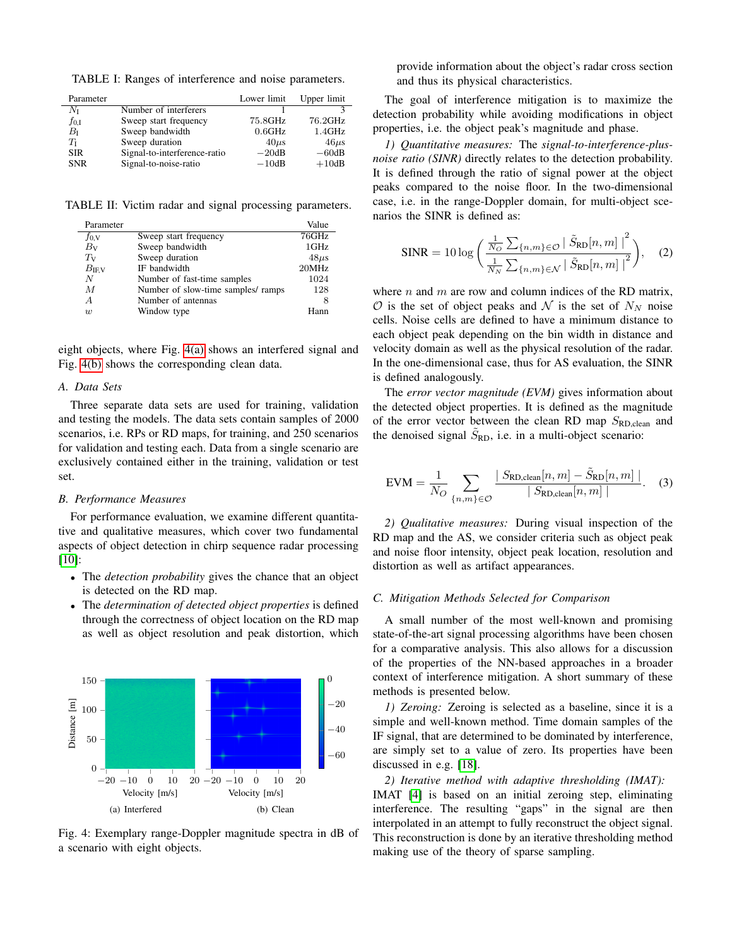<span id="page-3-0"></span>TABLE I: Ranges of interference and noise parameters.

| Parameter      |                              | Lower limit | Upper limit |
|----------------|------------------------------|-------------|-------------|
| $N_{\rm I}$    | Number of interferers        |             |             |
| $f_{0,\rm{I}}$ | Sweep start frequency        | 75.8GHz     | 76.2GHz     |
| $B_{I}$        | Sweep bandwidth              | 0.6GHz      | 1.4GHz      |
| $T_{\rm I}$    | Sweep duration               | $40\mu s$   | $46\mu s$   |
| <b>SIR</b>     | Signal-to-interference-ratio | $-20dB$     | $-60dB$     |
| <b>SNR</b>     | Signal-to-noise-ratio        | $-10dB$     | $+10dB$     |

<span id="page-3-1"></span>TABLE II: Victim radar and signal processing parameters.

| Parameter     |                                    | Value     |
|---------------|------------------------------------|-----------|
| $f_{0,V}$     | Sweep start frequency              | 76GHz     |
| $B_{V}$       | Sweep bandwidth                    | 1GHz      |
| $T_{V}$       | Sweep duration                     | $48\mu s$ |
| $B_{\rm IFV}$ | IF bandwidth                       | 20MHz     |
| N             | Number of fast-time samples        | 1024      |
| M             | Number of slow-time samples/ ramps | 128       |
| A             | Number of antennas                 | 8         |
| w             | Window type                        | Hann      |

eight objects, where Fig. [4\(a\)](#page-3-3) shows an interfered signal and Fig. [4\(b\)](#page-3-4) shows the corresponding clean data.

#### *A. Data Sets*

Three separate data sets are used for training, validation and testing the models. The data sets contain samples of 2000 scenarios, i.e. RPs or RD maps, for training, and 250 scenarios for validation and testing each. Data from a single scenario are exclusively contained either in the training, validation or test set.

# <span id="page-3-5"></span>*B. Performance Measures*

For performance evaluation, we examine different quantitative and qualitative measures, which cover two fundamental aspects of object detection in chirp sequence radar processing [\[10\]](#page-7-9):

- The *detection probability* gives the chance that an object is detected on the RD map.
- The *determination of detected object properties* is defined through the correctness of object location on the RD map as well as object resolution and peak distortion, which

<span id="page-3-3"></span><span id="page-3-2"></span>

<span id="page-3-4"></span>Fig. 4: Exemplary range-Doppler magnitude spectra in dB of a scenario with eight objects.

provide information about the object's radar cross section and thus its physical characteristics.

The goal of interference mitigation is to maximize the detection probability while avoiding modifications in object properties, i.e. the object peak's magnitude and phase.

*1) Quantitative measures:* The *signal-to-interference-plusnoise ratio (SINR)* directly relates to the detection probability. It is defined through the ratio of signal power at the object peaks compared to the noise floor. In the two-dimensional case, i.e. in the range-Doppler domain, for multi-object scenarios the SINR is defined as:

$$
\text{SINR} = 10 \log \left( \frac{\frac{1}{N_O} \sum_{\{n,m\} \in \mathcal{O} } \left| \tilde{S}_{\text{RD}}[n,m] \right|^{2}}{\frac{1}{N_N} \sum_{\{n,m\} \in \mathcal{N}} \left| \tilde{S}_{\text{RD}}[n,m] \right|^{2}} \right), \quad (2)
$$

where  $n$  and  $m$  are row and column indices of the RD matrix,  $\mathcal O$  is the set of object peaks and  $\mathcal N$  is the set of  $N_N$  noise cells. Noise cells are defined to have a minimum distance to each object peak depending on the bin width in distance and velocity domain as well as the physical resolution of the radar. In the one-dimensional case, thus for AS evaluation, the SINR is defined analogously.

The *error vector magnitude (EVM)* gives information about the detected object properties. It is defined as the magnitude of the error vector between the clean RD map  $S_{\rm RD}$  and the denoised signal  $\tilde{S}_{RD}$ , i.e. in a multi-object scenario:

$$
EVM = \frac{1}{N_O} \sum_{\{n,m\} \in O} \frac{|S_{\text{RD,clean}}[n, m] - \tilde{S}_{\text{RD}}[n, m]|}{|S_{\text{RD,clean}}[n, m]|}. \quad (3)
$$

*2) Qualitative measures:* During visual inspection of the RD map and the AS, we consider criteria such as object peak and noise floor intensity, object peak location, resolution and distortion as well as artifact appearances.

# <span id="page-3-6"></span>*C. Mitigation Methods Selected for Comparison*

A small number of the most well-known and promising state-of-the-art signal processing algorithms have been chosen for a comparative analysis. This also allows for a discussion of the properties of the NN-based approaches in a broader context of interference mitigation. A short summary of these methods is presented below.

*1) Zeroing:* Zeroing is selected as a baseline, since it is a simple and well-known method. Time domain samples of the IF signal, that are determined to be dominated by interference, are simply set to a value of zero. Its properties have been discussed in e.g. [\[18\]](#page-7-17).

*2) Iterative method with adaptive thresholding (IMAT):* IMAT [\[4\]](#page-7-3) is based on an initial zeroing step, eliminating interference. The resulting "gaps" in the signal are then interpolated in an attempt to fully reconstruct the object signal. This reconstruction is done by an iterative thresholding method making use of the theory of sparse sampling.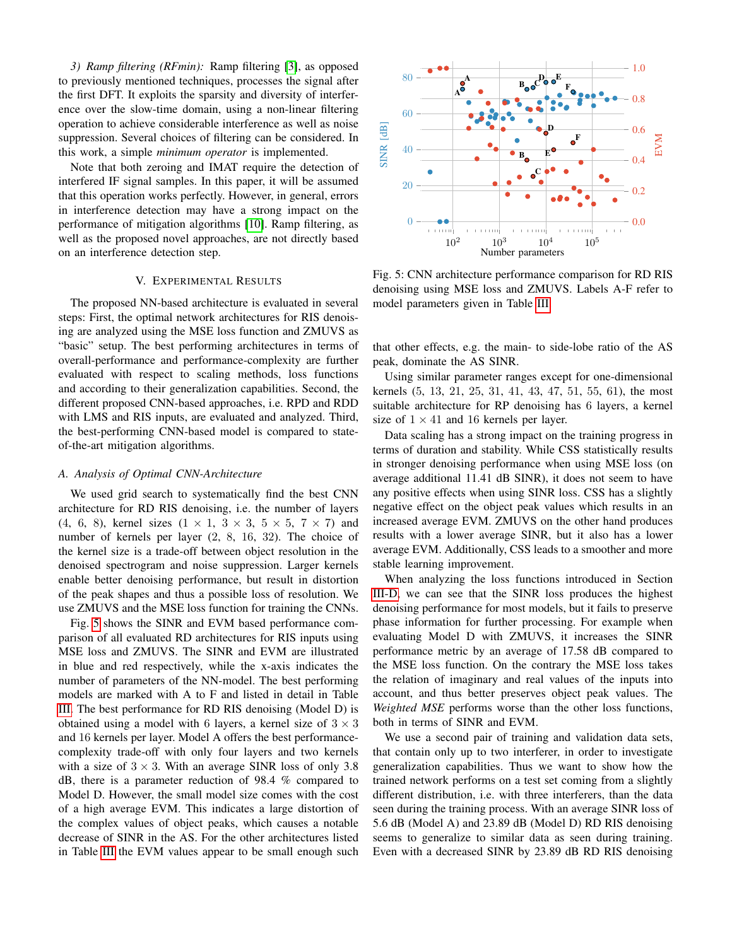*3) Ramp filtering (RFmin):* Ramp filtering [\[3\]](#page-7-2), as opposed to previously mentioned techniques, processes the signal after the first DFT. It exploits the sparsity and diversity of interference over the slow-time domain, using a non-linear filtering operation to achieve considerable interference as well as noise suppression. Several choices of filtering can be considered. In this work, a simple *minimum operator* is implemented.

Note that both zeroing and IMAT require the detection of interfered IF signal samples. In this paper, it will be assumed that this operation works perfectly. However, in general, errors in interference detection may have a strong impact on the performance of mitigation algorithms [\[10\]](#page-7-9). Ramp filtering, as well as the proposed novel approaches, are not directly based on an interference detection step.

## V. EXPERIMENTAL RESULTS

<span id="page-4-0"></span>The proposed NN-based architecture is evaluated in several steps: First, the optimal network architectures for RIS denoising are analyzed using the MSE loss function and ZMUVS as "basic" setup. The best performing architectures in terms of overall-performance and performance-complexity are further evaluated with respect to scaling methods, loss functions and according to their generalization capabilities. Second, the different proposed CNN-based approaches, i.e. RPD and RDD with LMS and RIS inputs, are evaluated and analyzed. Third, the best-performing CNN-based model is compared to stateof-the-art mitigation algorithms.

# <span id="page-4-2"></span>*A. Analysis of Optimal CNN-Architecture*

We used grid search to systematically find the best CNN architecture for RD RIS denoising, i.e. the number of layers (4, 6, 8), kernel sizes  $(1 \times 1, 3 \times 3, 5 \times 5, 7 \times 7)$  and number of kernels per layer (2, 8, 16, 32). The choice of the kernel size is a trade-off between object resolution in the denoised spectrogram and noise suppression. Larger kernels enable better denoising performance, but result in distortion of the peak shapes and thus a possible loss of resolution. We use ZMUVS and the MSE loss function for training the CNNs.

Fig. [5](#page-4-1) shows the SINR and EVM based performance comparison of all evaluated RD architectures for RIS inputs using MSE loss and ZMUVS. The SINR and EVM are illustrated in blue and red respectively, while the x-axis indicates the number of parameters of the NN-model. The best performing models are marked with A to F and listed in detail in Table [III.](#page-5-0) The best performance for RD RIS denoising (Model D) is obtained using a model with 6 layers, a kernel size of  $3 \times 3$ and 16 kernels per layer. Model A offers the best performancecomplexity trade-off with only four layers and two kernels with a size of  $3 \times 3$ . With an average SINR loss of only 3.8 dB, there is a parameter reduction of 98.4 % compared to Model D. However, the small model size comes with the cost of a high average EVM. This indicates a large distortion of the complex values of object peaks, which causes a notable decrease of SINR in the AS. For the other architectures listed in Table [III](#page-5-0) the EVM values appear to be small enough such

<span id="page-4-1"></span>

Fig. 5: CNN architecture performance comparison for RD RIS denoising using MSE loss and ZMUVS. Labels A-F refer to model parameters given in Table [III.](#page-5-0)

that other effects, e.g. the main- to side-lobe ratio of the AS peak, dominate the AS SINR.

Using similar parameter ranges except for one-dimensional kernels (5, 13, 21, 25, 31, 41, 43, 47, 51, 55, 61), the most suitable architecture for RP denoising has 6 layers, a kernel size of  $1 \times 41$  and 16 kernels per layer.

Data scaling has a strong impact on the training progress in terms of duration and stability. While CSS statistically results in stronger denoising performance when using MSE loss (on average additional 11.41 dB SINR), it does not seem to have any positive effects when using SINR loss. CSS has a slightly negative effect on the object peak values which results in an increased average EVM. ZMUVS on the other hand produces results with a lower average SINR, but it also has a lower average EVM. Additionally, CSS leads to a smoother and more stable learning improvement.

When analyzing the loss functions introduced in Section [III-D,](#page-2-2) we can see that the SINR loss produces the highest denoising performance for most models, but it fails to preserve phase information for further processing. For example when evaluating Model D with ZMUVS, it increases the SINR performance metric by an average of 17.58 dB compared to the MSE loss function. On the contrary the MSE loss takes the relation of imaginary and real values of the inputs into account, and thus better preserves object peak values. The *Weighted MSE* performs worse than the other loss functions, both in terms of SINR and EVM.

We use a second pair of training and validation data sets, that contain only up to two interferer, in order to investigate generalization capabilities. Thus we want to show how the trained network performs on a test set coming from a slightly different distribution, i.e. with three interferers, than the data seen during the training process. With an average SINR loss of 5.6 dB (Model A) and 23.89 dB (Model D) RD RIS denoising seems to generalize to similar data as seen during training. Even with a decreased SINR by 23.89 dB RD RIS denoising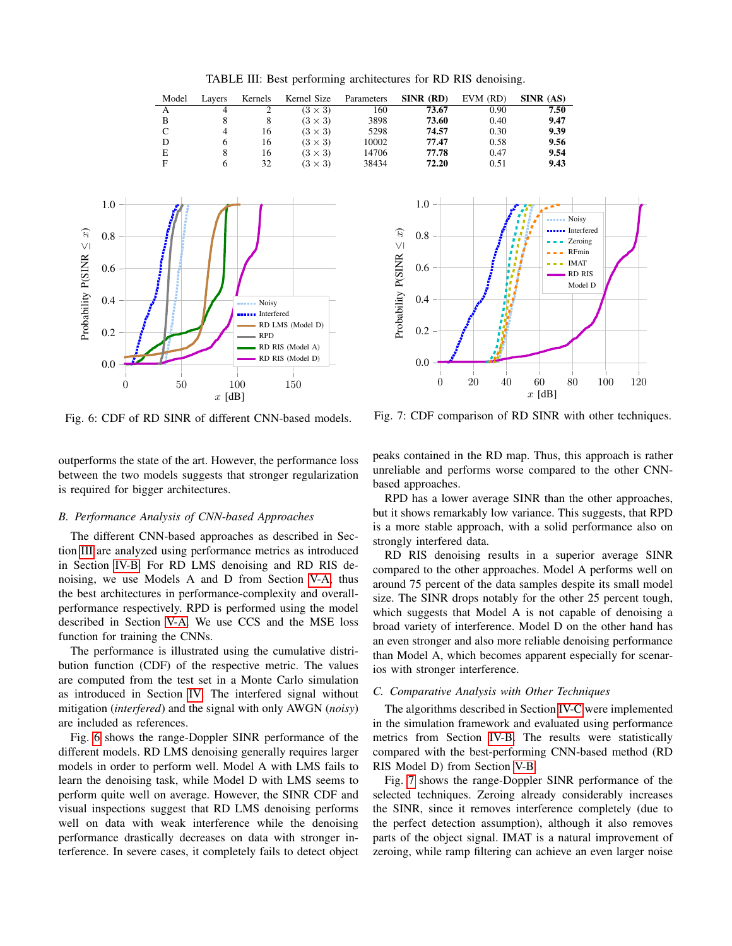<span id="page-5-0"></span>

| Model | Lavers | Kernels | Kernel Size    | Parameters | SINR (RD) | EVM (RD) | SINR (AS) |
|-------|--------|---------|----------------|------------|-----------|----------|-----------|
| А     | 4      |         | $(3 \times 3)$ | 160        | 73.67     | 0.90     | 7.50      |
| в     |        |         | $(3 \times 3)$ | 3898       | 73.60     | 0.40     | 9.47      |
| C     | 4      | 16      | $(3 \times 3)$ | 5298       | 74.57     | 0.30     | 9.39      |
| D     |        | 16      | $(3 \times 3)$ | 10002      | 77.47     | 0.58     | 9.56      |
| Е     |        | 16      | $(3 \times 3)$ | 14706      | 77.78     | 0.47     | 9.54      |
| F     |        | 32      | $(3 \times 3)$ | 38434      | 72.20     | 0.51     | 9.43      |



Fig. 6: CDF of RD SINR of different CNN-based models.

0 50 100 150

 $x$  [dB]

outperforms the state of the art. However, the performance loss between the two models suggests that stronger regularization is required for bigger architectures.

#### <span id="page-5-2"></span>*B. Performance Analysis of CNN-based Approaches*

Probability P(SINR

<span id="page-5-1"></span>≤ $\widehat{x}$ 

The different CNN-based approaches as described in Section [III](#page-1-3) are analyzed using performance metrics as introduced in Section [IV-B.](#page-3-5) For RD LMS denoising and RD RIS denoising, we use Models A and D from Section [V-A,](#page-4-2) thus the best architectures in performance-complexity and overallperformance respectively. RPD is performed using the model described in Section [V-A.](#page-4-2) We use CCS and the MSE loss function for training the CNNs.

The performance is illustrated using the cumulative distribution function (CDF) of the respective metric. The values are computed from the test set in a Monte Carlo simulation as introduced in Section [IV.](#page-2-3) The interfered signal without mitigation (*interfered*) and the signal with only AWGN (*noisy*) are included as references.

Fig. [6](#page-5-1) shows the range-Doppler SINR performance of the different models. RD LMS denoising generally requires larger models in order to perform well. Model A with LMS fails to learn the denoising task, while Model D with LMS seems to perform quite well on average. However, the SINR CDF and visual inspections suggest that RD LMS denoising performs well on data with weak interference while the denoising performance drastically decreases on data with stronger interference. In severe cases, it completely fails to detect object

<span id="page-5-3"></span>

Fig. 7: CDF comparison of RD SINR with other techniques.

peaks contained in the RD map. Thus, this approach is rather unreliable and performs worse compared to the other CNNbased approaches.

RPD has a lower average SINR than the other approaches, but it shows remarkably low variance. This suggests, that RPD is a more stable approach, with a solid performance also on strongly interfered data.

RD RIS denoising results in a superior average SINR compared to the other approaches. Model A performs well on around 75 percent of the data samples despite its small model size. The SINR drops notably for the other 25 percent tough, which suggests that Model A is not capable of denoising a broad variety of interference. Model D on the other hand has an even stronger and also more reliable denoising performance than Model A, which becomes apparent especially for scenarios with stronger interference.

# *C. Comparative Analysis with Other Techniques*

The algorithms described in Section [IV-C](#page-3-6) were implemented in the simulation framework and evaluated using performance metrics from Section [IV-B.](#page-3-5) The results were statistically compared with the best-performing CNN-based method (RD RIS Model D) from Section [V-B.](#page-5-2)

Fig. [7](#page-5-3) shows the range-Doppler SINR performance of the selected techniques. Zeroing already considerably increases the SINR, since it removes interference completely (due to the perfect detection assumption), although it also removes parts of the object signal. IMAT is a natural improvement of zeroing, while ramp filtering can achieve an even larger noise

TABLE III: Best performing architectures for RD RIS denoising.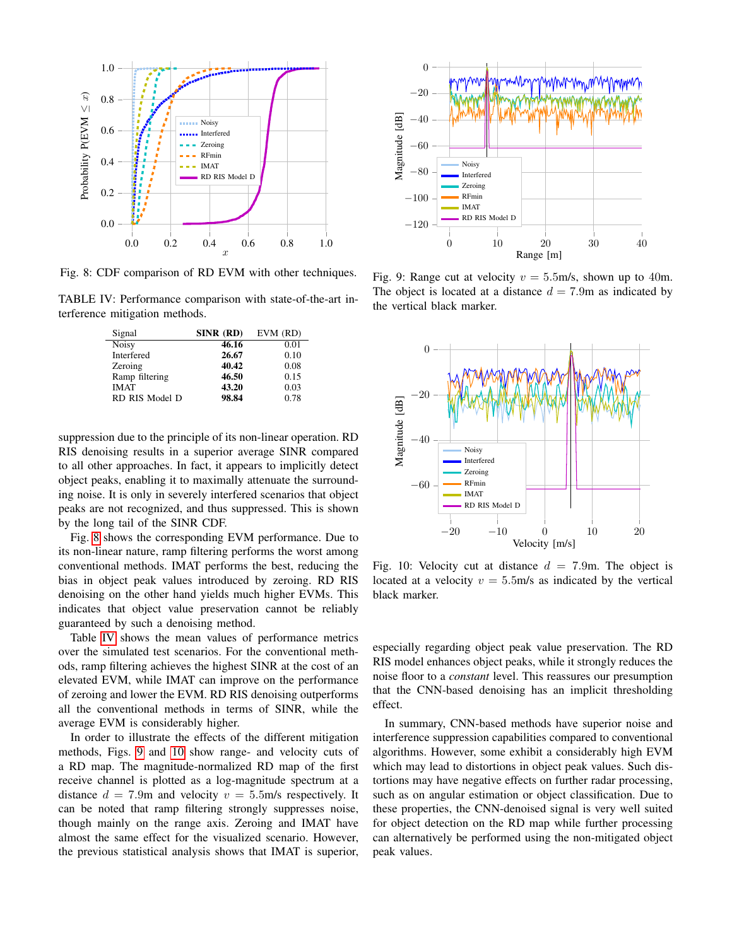<span id="page-6-0"></span>

Fig. 8: CDF comparison of RD EVM with other techniques.

<span id="page-6-1"></span>TABLE IV: Performance comparison with state-of-the-art interference mitigation methods.

| Signal         | SINR (RD) | $EVM$ $(RD)$ |
|----------------|-----------|--------------|
| <b>Noisy</b>   | 46.16     | 0.01         |
| Interfered     | 26.67     | 0.10         |
| Zeroing        | 40.42     | 0.08         |
| Ramp filtering | 46.50     | 0.15         |
| <b>IMAT</b>    | 43.20     | 0.03         |
| RD RIS Model D | 98.84     | 0.78         |

suppression due to the principle of its non-linear operation. RD RIS denoising results in a superior average SINR compared to all other approaches. In fact, it appears to implicitly detect object peaks, enabling it to maximally attenuate the surrounding noise. It is only in severely interfered scenarios that object peaks are not recognized, and thus suppressed. This is shown by the long tail of the SINR CDF.

Fig. [8](#page-6-0) shows the corresponding EVM performance. Due to its non-linear nature, ramp filtering performs the worst among conventional methods. IMAT performs the best, reducing the bias in object peak values introduced by zeroing. RD RIS denoising on the other hand yields much higher EVMs. This indicates that object value preservation cannot be reliably guaranteed by such a denoising method.

Table [IV](#page-6-1) shows the mean values of performance metrics over the simulated test scenarios. For the conventional methods, ramp filtering achieves the highest SINR at the cost of an elevated EVM, while IMAT can improve on the performance of zeroing and lower the EVM. RD RIS denoising outperforms all the conventional methods in terms of SINR, while the average EVM is considerably higher.

In order to illustrate the effects of the different mitigation methods, Figs. [9](#page-6-2) and [10](#page-6-3) show range- and velocity cuts of a RD map. The magnitude-normalized RD map of the first receive channel is plotted as a log-magnitude spectrum at a distance  $d = 7.9$ m and velocity  $v = 5.5$ m/s respectively. It can be noted that ramp filtering strongly suppresses noise, though mainly on the range axis. Zeroing and IMAT have almost the same effect for the visualized scenario. However, the previous statistical analysis shows that IMAT is superior,

<span id="page-6-2"></span>

Fig. 9: Range cut at velocity  $v = 5.5$ m/s, shown up to 40m. The object is located at a distance  $d = 7.9$ m as indicated by the vertical black marker.

<span id="page-6-3"></span>

Fig. 10: Velocity cut at distance  $d = 7.9$ m. The object is located at a velocity  $v = 5.5$ m/s as indicated by the vertical black marker.

especially regarding object peak value preservation. The RD RIS model enhances object peaks, while it strongly reduces the noise floor to a *constant* level. This reassures our presumption that the CNN-based denoising has an implicit thresholding effect.

In summary, CNN-based methods have superior noise and interference suppression capabilities compared to conventional algorithms. However, some exhibit a considerably high EVM which may lead to distortions in object peak values. Such distortions may have negative effects on further radar processing, such as on angular estimation or object classification. Due to these properties, the CNN-denoised signal is very well suited for object detection on the RD map while further processing can alternatively be performed using the non-mitigated object peak values.